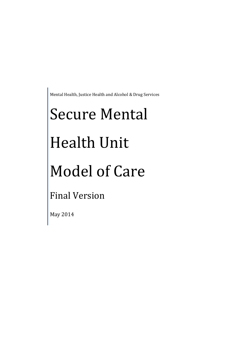Mental Health, Justice Health and Alcohol & Drug Services

# Secure Mental

# Health Unit

# Model of Care

Final Version

May 2014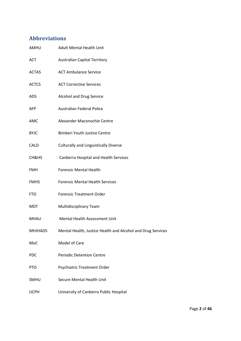# <span id="page-1-0"></span>**Abbreviations**

| AMHU           | <b>Adult Mental Health Unit</b>                             |
|----------------|-------------------------------------------------------------|
| <b>ACT</b>     | <b>Australian Capital Territory</b>                         |
| <b>ACTAS</b>   | <b>ACT Ambulance Service</b>                                |
| <b>ACTCS</b>   | <b>ACT Corrective Services</b>                              |
| ADS            | Alcohol and Drug Service                                    |
| <b>AFP</b>     | <b>Australian Federal Police</b>                            |
| AMC            | Alexander Maconochie Centre                                 |
| <b>BYJC</b>    | <b>Bimberi Youth Justice Centre</b>                         |
| <b>CALD</b>    | <b>Culturally and Linguistically Diverse</b>                |
| CH&HS          | Canberra Hospital and Health Services                       |
| <b>FMH</b>     | <b>Forensic Mental Health</b>                               |
| <b>FMHS</b>    | <b>Forensic Mental Health Services</b>                      |
| <b>FTO</b>     | <b>Forensic Treatment Order</b>                             |
| <b>MDT</b>     | <b>Multidisciplinary Team</b>                               |
| <b>MHAU</b>    | Mental Health Assessment Unit                               |
| <b>MHJHADS</b> | Mental Health, Justice Health and Alcohol and Drug Services |
| MoC            | Model of Care                                               |
| PDC            | <b>Periodic Detention Centre</b>                            |
| <b>PTO</b>     | <b>Psychiatric Treatment Order</b>                          |
| SMHU           | Secure Mental Health Unit                                   |
| <b>UCPH</b>    | University of Canberra Public Hospital                      |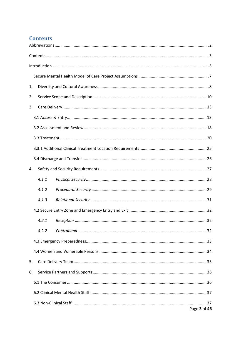# <span id="page-2-0"></span>**Contents**

| 1. |       |  |              |  |
|----|-------|--|--------------|--|
| 2. |       |  |              |  |
| 3. |       |  |              |  |
|    |       |  |              |  |
|    |       |  |              |  |
|    |       |  |              |  |
|    |       |  |              |  |
|    |       |  |              |  |
| 4. |       |  |              |  |
|    | 4.1.1 |  |              |  |
|    | 4.1.2 |  |              |  |
|    | 4.1.3 |  |              |  |
|    |       |  |              |  |
|    | 4.2.1 |  |              |  |
|    | 4.2.2 |  |              |  |
|    |       |  |              |  |
|    |       |  |              |  |
| 5. |       |  |              |  |
| 6. |       |  |              |  |
|    |       |  |              |  |
|    |       |  |              |  |
|    |       |  |              |  |
|    |       |  | Page 3 of 46 |  |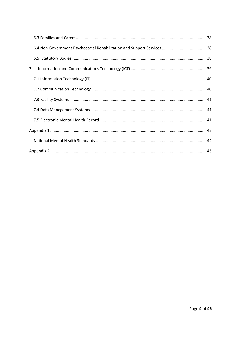| 7. |  |  |
|----|--|--|
|    |  |  |
|    |  |  |
|    |  |  |
|    |  |  |
|    |  |  |
|    |  |  |
|    |  |  |
|    |  |  |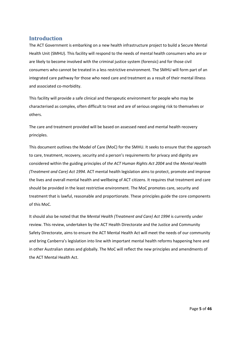## <span id="page-4-0"></span>**Introduction**

The ACT Government is embarking on a new health infrastructure project to build a Secure Mental Health Unit (SMHU). This facility will respond to the needs of mental health consumers who are or are likely to become involved with the criminal justice system (forensic) and for those civil consumers who cannot be treated in a less restrictive environment. The SMHU will form part of an integrated care pathway for those who need care and treatment as a result of their mental illness and associated co-morbidity.

This facility will provide a safe clinical and therapeutic environment for people who may be characterised as complex, often difficult to treat and are of serious ongoing risk to themselves or others.

The care and treatment provided will be based on assessed need and mental health recovery principles.

This document outlines the Model of Care (MoC) for the SMHU. It seeks to ensure that the approach to care, treatment, recovery, security and a person's requirements for privacy and dignity are considered within the guiding principles of *the ACT Human Rights Act 2004* and the *Mental Health (Treatment and Care) Act 1994*. ACT mental health legislation aims to protect, promote and improve the lives and overall mental health and wellbeing of ACT citizens. It requires that treatment and care should be provided in the least restrictive environment. The MoC promotes care, security and treatment that is lawful, reasonable and proportionate. These principles guide the core components of this MoC.

It should also be noted that the *Mental Health (Treatment and Care) Act 1994* is currently under review. This review, undertaken by the ACT Health Directorate and the Justice and Community Safety Directorate, aims to ensure the ACT Mental Health Act will meet the needs of our community and bring Canberra's legislation into line with important mental health reforms happening here and in other Australian states and globally. The MoC will reflect the new principles and amendments of the ACT Mental Health Act.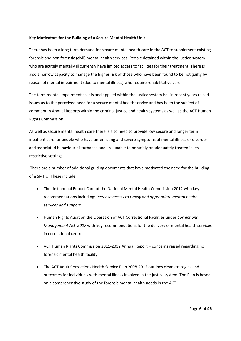## **Key Motivators for the Building of a Secure Mental Health Unit**

There has been a long term demand for secure mental health care in the ACT to supplement existing forensic and non forensic (civil) mental health services. People detained within the justice system who are acutely mentally ill currently have limited access to facilities for their treatment. There is also a narrow capacity to manage the higher risk of those who have been found to be not guilty by reason of mental impairment (due to mental illness) who require rehabilitative care.

The term mental impairment as it is and applied within the justice system has in recent years raised issues as to the perceived need for a secure mental health service and has been the subject of comment in Annual Reports within the criminal justice and health systems as well as the ACT Human Rights Commission.

As well as secure mental health care there is also need to provide low secure and longer term inpatient care for people who have unremitting and severe symptoms of mental illness or disorder and associated behaviour disturbance and are unable to be safely or adequately treated in less restrictive settings.

There are a number of additional guiding documents that have motivated the need for the building of a SMHU. These include:

- The first annual Report Card of the National Mental Health Commission 2012 with key recommendations including: *Increase access to timely and appropriate mental health services and support*
- Human Rights Audit on the Operation of ACT Correctional Facilities under *Corrections Management Act 2007* with key recommendations for the delivery of mental health services in correctional centres
- ACT Human Rights Commission 2011-2012 Annual Report concerns raised regarding no forensic mental health facility
- The ACT Adult Corrections Health Service Plan 2008-2012 outlines clear strategies and outcomes for individuals with mental illness involved in the justice system. The Plan is based on a comprehensive study of the forensic mental health needs in the ACT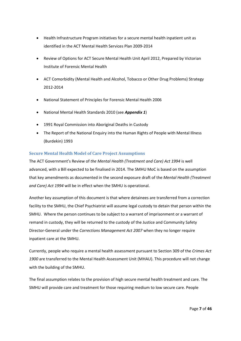- Health Infrastructure Program initiatives for a secure mental health inpatient unit as identified in the ACT Mental Health Services Plan 2009-2014
- Review of Options for ACT Secure Mental Health Unit April 2012, Prepared by Victorian Institute of Forensic Mental Health
- ACT Comorbidity (Mental Health and Alcohol, Tobacco or Other Drug Problems) Strategy 2012-2014
- National Statement of Principles for Forensic Mental Health 2006
- National Mental Health Standards 2010 (see *Appendix 1*)
- 1991 Royal Commission into Aboriginal Deaths in Custody
- The Report of the National Enquiry into the Human Rights of People with Mental Illness (Burdekin) 1993

## <span id="page-6-0"></span>**Secure Mental Health Model of Care Project Assumptions**

The ACT Government's Review of *the Mental Health (Treatment and Care) Act 1994* is well advanced, with a Bill expected to be finalised in 2014. The SMHU MoC is based on the assumption that key amendments as documented in the second exposure draft of the *Mental Health (Treatment and Care) Act 1994* will be in effect when the SMHU is operational.

Another key assumption of this document is that where detainees are transferred from a correction facility to the SMHU, the Chief Psychiatrist will assume legal custody to detain that person within the SMHU. Where the person continues to be subject to a warrant of imprisonment or a warrant of remand in custody, they will be returned to the custody of the Justice and Community Safety Director-General under the *Corrections Management Act 2007* when they no longer require inpatient care at the SMHU.

Currently, people who require a mental health assessment pursuant to Section 309 of the *Crimes Act 1900* are transferred to the Mental Health Assessment Unit (MHAU). This procedure will not change with the building of the SMHU.

The final assumption relates to the provision of high secure mental health treatment and care. The SMHU will provide care and treatment for those requiring medium to low secure care. People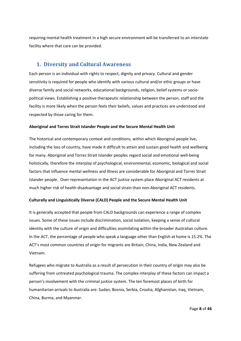requiring mental health treatment in a high secure environment will be transferred to an interstate facility where that care can be provided.

## <span id="page-7-0"></span>**1. Diversity and Cultural Awareness**

Each person is an individual with rights to respect, dignity and privacy. Cultural and gender sensitivity is required for people who identify with various cultural and/or ethic groups or have diverse family and social networks, educational backgrounds, religion, belief systems or sociopolitical views. Establishing a positive therapeutic relationship between the person, staff and the facility is more likely when the person feels their beliefs, values and practices are understood and respected by those caring for them.

## **Aboriginal and Torres Strait Islander People and the Secure Mental Health Unit**

The historical and contemporary context and conditions, within which Aboriginal people live, including the loss of country, have made it difficult to attain and sustain good health and wellbeing for many. Aboriginal and Torres Strait Islander peoples regard social and emotional well-being holistically, therefore the interplay of psychological, environmental, economic, biological and social factors that influence mental wellness and illness are considerable for Aboriginal and Torres Strait Islander people. Over-representation in the ACT justice system place Aboriginal ACT residents at much higher risk of health disadvantage and social strain than non-Aboriginal ACT residents.

## **Culturally and Linguistically Diverse (CALD) People and the Secure Mental Health Unit**

It is generally accepted that people from CALD backgrounds can experience a range of complex issues. Some of these issues include discrimination, social isolation, keeping a sense of cultural identity with the culture of origin and difficulties assimilating within the broader Australian culture. In the ACT, the percentage of people who speak a language other than English at home is 15.2%. The ACT's most common countries of origin for migrants are Britain, China, India, New Zealand and Vietnam.

Refugees who migrate to Australia as a result of persecution in their country of origin may also be suffering from untreated psychological trauma. The complex interplay of these factors can impact a person's involvement with the criminal justice system. The ten foremost places of birth for humanitarian arrivals to Australia are: Sudan, Bosnia, Serbia, Croatia, Afghanistan, Iraq, Vietnam, China, Burma, and Myanmar.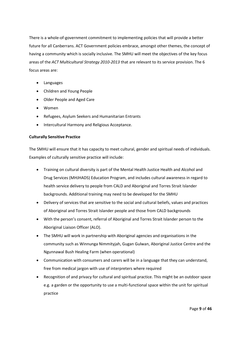There is a whole-of-government commitment to implementing policies that will provide a better future for all Canberrans. ACT Government policies embrace, amongst other themes, the concept of having a community which is socially inclusive. The SMHU will meet the objectives of the key focus areas of the *ACT Multicultural Strategy 2010-2013* that are relevant to its service provision. The 6 focus areas are:

- Languages
- Children and Young People
- Older People and Aged Care
- Women
- Refugees, Asylum Seekers and Humanitarian Entrants
- Intercultural Harmony and Religious Acceptance.

## **Culturally Sensitive Practice**

The SMHU will ensure that it has capacity to meet cultural, gender and spiritual needs of individuals. Examples of culturally sensitive practice will include:

- Training on cultural diversity is part of the Mental Health Justice Health and Alcohol and Drug Services (MHJHADS) Education Program, and includes cultural awareness in regard to health service delivery to people from CALD and Aboriginal and Torres Strait Islander backgrounds. Additional training may need to be developed for the SMHU
- Delivery of services that are sensitive to the social and cultural beliefs, values and practices of Aboriginal and Torres Strait Islander people and those from CALD backgrounds
- With the person's consent, referral of Aboriginal and Torres Strait Islander person to the Aboriginal Liaison Officer (ALO).
- The SMHU will work in partnership with Aboriginal agencies and organisations in the community such as Winnunga Nimmityjah, Gugan Gulwan, Aboriginal Justice Centre and the Ngunnawal Bush Healing Farm (when operational)
- Communication with consumers and carers will be in a language that they can understand, free from medical jargon with use of interpreters where required
- Recognition of and privacy for cultural and spiritual practice. This might be an outdoor space e.g. a garden or the opportunity to use a multi-functional space within the unit for spiritual practice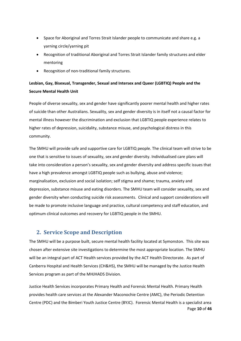- Space for Aboriginal and Torres Strait Islander people to communicate and share e.g. a yarning circle/yarning pit
- Recognition of traditional Aboriginal and Torres Strait Islander family structures and elder mentoring
- Recognition of non-traditional family structures.

# **Lesbian, Gay, Bisexual, Transgender, Sexual and Intersex and Queer (LGBTIQ) People and the Secure Mental Health Unit**

People of diverse sexuality, sex and gender have significantly poorer mental health and higher rates of suicide than other Australians. Sexuality, sex and gender diversity is in itself not a causal factor for mental illness however the discrimination and exclusion that LGBTIQ people experience relates to higher rates of depression, suicidality, substance misuse, and psychological distress in this community.

The SMHU will provide safe and supportive care for LGBTIQ people. The clinical team will strive to be one that is sensitive to issues of sexuality, sex and gender diversity. Individualised care plans will take into consideration a person's sexuality, sex and gender diversity and address specific issues that have a high prevalence amongst LGBTIQ people such as bullying, abuse and violence; marginalisation, exclusion and social isolation; self stigma and shame; trauma, anxiety and depression, substance misuse and eating disorders. The SMHU team will consider sexuality, sex and gender diversity when conducting suicide risk assessments. Clinical and support considerations will be made to promote inclusive language and practice, cultural competency and staff education, and optimum clinical outcomes and recovery for LGBTIQ people in the SMHU.

## <span id="page-9-0"></span>**2. Service Scope and Description**

The SMHU will be a purpose built, secure mental health facility located at Symonston. This site was chosen after extensive site investigations to determine the most appropriate location. The SMHU will be an integral part of ACT Health services provided by the ACT Health Directorate. As part of Canberra Hospital and Health Services (CH&HS), the SMHU will be managed by the Justice Health Services program as part of the MHJHADS Division.

Page **10** of **46** Justice Health Services incorporates Primary Health and Forensic Mental Health. Primary Health provides health care services at the Alexander Maconochie Centre (AMC), the Periodic Detention Centre (PDC) and the Bimberi Youth Justice Centre (BYJC). Forensic Mental Health is a specialist area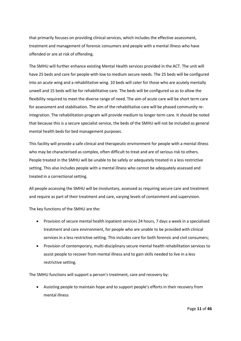that primarily focuses on providing clinical services, which includes the effective assessment, treatment and management of forensic consumers and people with a mental illness who have offended or are at risk of offending.

The SMHU will further enhance existing Mental Health services provided in the ACT. The unit will have 25 beds and care for people with low to medium secure needs. The 25 beds will be configured into an acute wing and a rehabilitative wing. 10 beds will cater for those who are acutely mentally unwell and 15 beds will be for rehabilitative care. The beds will be configured so as to allow the flexibility required to meet the diverse range of need. The aim of acute care will be short term care for assessment and stabilisation. The aim of the rehabilitative care will be phased community reintegration. The rehabilitation program will provide medium to longer term care. It should be noted that because this is a secure specialist service, the beds of the SMHU will not be included as general mental health beds for bed management purposes.

This facility will provide a safe clinical and therapeutic environment for people with a mental illness who may be characterised as complex, often difficult to treat and are of serious risk to others. People treated in the SMHU will be unable to be safely or adequately treated in a less restrictive setting. This also includes people with a mental illness who cannot be adequately assessed and treated in a correctional setting.

All people accessing the SMHU will be involuntary, assessed as requiring secure care and treatment and require as part of their treatment and care, varying levels of containment and supervision.

The key functions of the SMHU are the:

- Provision of secure mental health inpatient services 24 hours, 7 days a week in a specialised treatment and care environment, for people who are unable to be provided with clinical services in a less restrictive setting. This includes care for both forensic and civil consumers;
- Provision of contemporary, multi-disciplinary secure mental health rehabilitation services to assist people to recover from mental illness and to gain skills needed to live in a less restrictive setting.

The SMHU functions will support a person's treatment, care and recovery by:

• Assisting people to maintain hope and to support people's efforts in their recovery from mental illness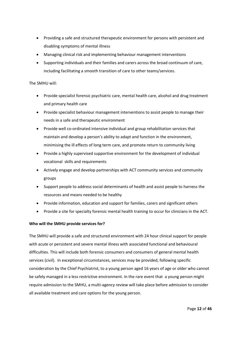- Providing a safe and structured therapeutic environment for persons with persistent and disabling symptoms of mental illness
- Managing clinical risk and implementing behaviour management interventions
- Supporting individuals and their families and carers across the broad continuum of care, including facilitating a smooth transition of care to other teams/services.

## The SMHU will:

- Provide specialist forensic psychiatric care, mental health care, alcohol and drug treatment and primary health care
- Provide specialist behaviour management interventions to assist people to manage their needs in a safe and therapeutic environment
- Provide well co-ordinated intensive individual and group rehabilitation services that maintain and develop a person's ability to adapt and function in the environment, minimising the ill effects of long term care, and promote return to community living
- Provide a highly supervised supportive environment for the development of individual vocational skills and requirements
- Actively engage and develop partnerships with ACT community services and community groups
- Support people to address social determinants of health and assist people to harness the resources and means needed to be healthy
- Provide information, education and support for families, carers and significant others
- Provide a site for specialty forensic mental health training to occur for clinicians in the ACT.

## **Who will the SMHU provide services for?**

The SMHU will provide a safe and structured environment with 24 hour clinical support for people with acute or persistent and severe mental illness with associated functional and behavioural difficulties. This will include both forensic consumers and consumers of general mental health services (civil). In exceptional circumstances, services may be provided, following specific consideration by the Chief Psychiatrist, to a young person aged 16 years of age or older who cannot be safely managed in a less restrictive environment. In the rare event that a young person might require admission to the SMHU, a multi-agency review will take place before admission to consider all available treatment and care options for the young person.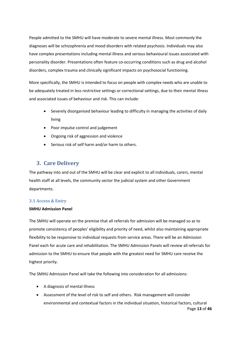People admitted to the SMHU will have moderate to severe mental illness. Most commonly the diagnoses will be schizophrenia and mood disorders with related psychosis. Individuals may also have complex presentations including mental illness and serious behavioural issues associated with personality disorder. Presentations often feature co-occurring conditions such as drug and alcohol disorders, complex trauma and clinically significant impacts on psychosocial functioning.

More specifically, the SMHU is intended to focus on people with complex needs who are unable to be adequately treated in less restrictive settings or correctional settings, due to their mental illness and associated issues of behaviour and risk. This can include:

- Severely disorganised behaviour leading to difficulty in managing the activities of daily living
- Poor impulse control and judgement
- Ongoing risk of aggression and violence
- Serious risk of self harm and/or harm to others.

## <span id="page-12-0"></span>**3. Care Delivery**

The pathway into and out of the SMHU will be clear and explicit to all individuals, carers, mental health staff at all levels, the community sector the judicial system and other Government departments.

## <span id="page-12-1"></span>**3.1 Access & Entry**

## **SMHU Admission Panel**

The SMHU will operate on the premise that all referrals for admission will be managed so as to promote consistency of peoples' eligibility and priority of need, whilst also maintaining appropriate flexibility to be responsive to individual requests from service areas. There will be an Admission Panel each for acute care and rehabilitation. The SMHU Admission Panels will review all referrals for admission to the SMHU to ensure that people with the greatest need for SMHU care receive the highest priority.

The SMHU Admission Panel will take the following into consideration for all admissions:

- A diagnosis of mental illness
- Page **13** of **46** • Assessment of the level of risk to self and others. Risk management will consider environmental and contextual factors in the individual situation, historical factors, cultural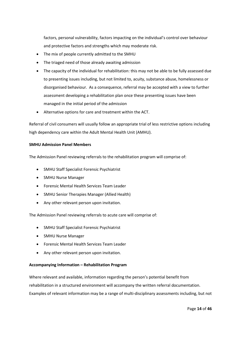factors, personal vulnerability, factors impacting on the individual's control over behaviour and protective factors and strengths which may moderate risk.

- The mix of people currently admitted to the SMHU
- The triaged need of those already awaiting admission
- The capacity of the individual for rehabilitation: this may not be able to be fully assessed due to presenting issues including, but not limited to, acuity, substance abuse, homelessness or disorganised behaviour. As a consequence, referral may be accepted with a view to further assessment developing a rehabilitation plan once these presenting issues have been managed in the initial period of the admission
- Alternative options for care and treatment within the ACT.

Referral of civil consumers will usually follow an appropriate trial of less restrictive options including high dependency care within the Adult Mental Health Unit (AMHU).

## **SMHU Admission Panel Members**

The Admission Panel reviewing referrals to the rehabilitation program will comprise of:

- SMHU Staff Specialist Forensic Psychiatrist
- SMHU Nurse Manager
- Forensic Mental Health Services Team Leader
- SMHU Senior Therapies Manager (Allied Health)
- Any other relevant person upon invitation.

The Admission Panel reviewing referrals to acute care will comprise of:

- SMHU Staff Specialist Forensic Psychiatrist
- SMHU Nurse Manager
- Forensic Mental Health Services Team Leader
- Any other relevant person upon invitation.

## **Accompanying Information – Rehabilitation Program**

Where relevant and available, information regarding the person's potential benefit from rehabilitation in a structured environment will accompany the written referral documentation. Examples of relevant information may be a range of multi-disciplinary assessments including, but not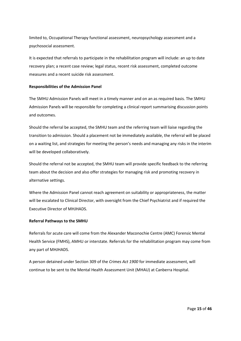limited to, Occupational Therapy functional assessment, neuropsychology assessment and a psychosocial assessment.

It is expected that referrals to participate in the rehabilitation program will include: an up to date recovery plan; a recent case review; legal status, recent risk assessment, completed outcome measures and a recent suicide risk assessment.

## **Responsibilities of the Admission Panel**

The SMHU Admission Panels will meet in a timely manner and on an as required basis. The SMHU Admission Panels will be responsible for completing a clinical report summarising discussion points and outcomes.

Should the referral be accepted, the SMHU team and the referring team will liaise regarding the transition to admission. Should a placement not be immediately available, the referral will be placed on a waiting list, and strategies for meeting the person's needs and managing any risks in the interim will be developed collaboratively.

Should the referral not be accepted, the SMHU team will provide specific feedback to the referring team about the decision and also offer strategies for managing risk and promoting recovery in alternative settings.

Where the Admission Panel cannot reach agreement on suitability or appropriateness, the matter will be escalated to Clinical Director, with oversight from the Chief Psychiatrist and if required the Executive Director of MHJHADS.

## **Referral Pathways to the SMHU**

Referrals for acute care will come from the Alexander Maconochie Centre (AMC) Forensic Mental Health Service (FMHS), AMHU or interstate. Referrals for the rehabilitation program may come from any part of MHJHADS.

A person detained under Section 309 of the *Crimes Act 1900* for immediate assessment, will continue to be sent to the Mental Health Assessment Unit (MHAU) at Canberra Hospital.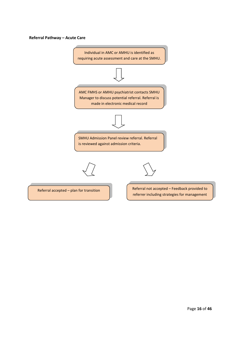## **Referral Pathway – Acute Care**

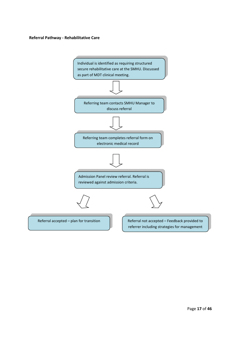## **Referral Pathway - Rehabilitative Care**

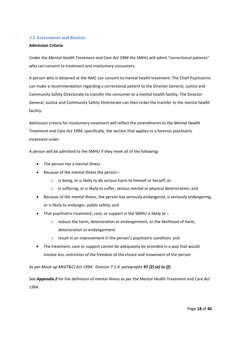## <span id="page-17-0"></span>**3.2 Assessment and Review**

## **Admission Criteria**

Under the *Mental Health Treatment and Care Act 1994* the SMHU will admit "correctional patients" who can consent to treatment and involuntary consumers.

A person who is detained at the AMC can consent to mental health treatment. The Chief Psychiatrist can make a recommendation regarding a correctional patient to the Director General, Justice and Community Safety Directorate to transfer the consumer to a mental health facility. The Director General, Justice and Community Safety Directorate can then order the transfer to the mental health facility.

Admission criteria for involuntary treatment will reflect the amendments to the *Mental Health Treatment and Care Act 1994*, specifically, the section that applies to a forensic psychiatric treatment order.

A person will be admitted to the SMHU if they meet all of the following:

- The person has a mental illness
- Because of the mental illness the person
	- o is doing, or is likely to do serious harm to himself or herself; or
	- $\circ$  is suffering, or is likely to suffer, serious mental or physical deterioration; and
- Because of the mental illness, the person has seriously endangered, is seriously endangering, or is likely to endanger, public safety; and
- That psychiatric treatment, care, or support in the SMHU is likely to  $$ 
	- o reduce the harm, deterioration or endangerment, or the likelihood of harm, deterioration or endangerment
	- o result in an improvement in the person's psychiatric condition; and
- The treatment, care or support cannot be adequately be provided in a way that would involve less restriction of the freedom of the choice and movement of the person

## *As per Mock-up MH(T&C) Act 1994: Division 7.1.4: paragraphs 97 (2) (a) to (f).*

See *Appendix 2* for the definition of mental illness as per the Mental Health Treatment and Care Act 1994.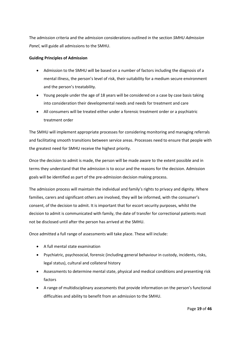The admission criteria and the admission considerations outlined in the section *SMHU Admission Panel*, will guide all admissions to the SMHU.

## **Guiding Principles of Admission**

- Admission to the SMHU will be based on a number of factors including the diagnosis of a mental illness, the person's level of risk, their suitability for a medium secure environment and the person's treatability.
- Young people under the age of 18 years will be considered on a case by case basis taking into consideration their developmental needs and needs for treatment and care
- All consumers will be treated either under a forensic treatment order or a psychiatric treatment order

The SMHU will implement appropriate processes for considering monitoring and managing referrals and facilitating smooth transitions between service areas. Processes need to ensure that people with the greatest need for SMHU receive the highest priority.

Once the decision to admit is made, the person will be made aware to the extent possible and in terms they understand that the admission is to occur and the reasons for the decision. Admission goals will be identified as part of the pre-admission decision making process.

The admission process will maintain the individual and family's rights to privacy and dignity. Where families, carers and significant others are involved, they will be informed, with the consumer's consent, of the decision to admit. It is important that for escort security purposes, whilst the decision to admit is communicated with family, the date of transfer for correctional patients must not be disclosed until after the person has arrived at the SMHU.

Once admitted a full range of assessments will take place. These will include:

- A full mental state examination
- Psychiatric, psychosocial, forensic (including general behaviour in custody, incidents, risks, legal status), cultural and collateral history
- Assessments to determine mental state, physical and medical conditions and presenting risk factors
- A range of multidisciplinary assessments that provide information on the person's functional difficulties and ability to benefit from an admission to the SMHU.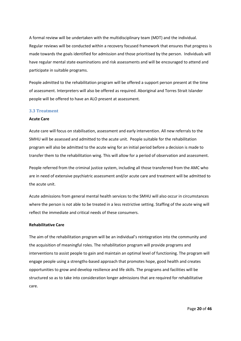A formal review will be undertaken with the multidisciplinary team (MDT) and the individual. Regular reviews will be conducted within a recovery focused framework that ensures that progress is made towards the goals identified for admission and those prioritised by the person. Individuals will have regular mental state examinations and risk assessments and will be encouraged to attend and participate in suitable programs.

People admitted to the rehabilitation program will be offered a support person present at the time of assessment. Interpreters will also be offered as required. Aboriginal and Torres Strait Islander people will be offered to have an ALO present at assessment.

## <span id="page-19-0"></span>**3.3 Treatment**

## **Acute Care**

Acute care will focus on stabilisation, assessment and early intervention. All new referrals to the SMHU will be assessed and admitted to the acute unit. People suitable for the rehabilitation program will also be admitted to the acute wing for an initial period before a decision is made to transfer them to the rehabilitation wing. This will allow for a period of observation and assessment.

People referred from the criminal justice system, including all those transferred from the AMC who are in need of extensive psychiatric assessment and/or acute care and treatment will be admitted to the acute unit.

Acute admissions from general mental health services to the SMHU will also occur in circumstances where the person is not able to be treated in a less restrictive setting. Staffing of the acute wing will reflect the immediate and critical needs of these consumers.

## **Rehabilitative Care**

The aim of the rehabilitation program will be an individual's reintegration into the community and the acquisition of meaningful roles. The rehabilitation program will provide programs and interventions to assist people to gain and maintain an optimal level of functioning. The program will engage people using a strengths-based approach that promotes hope, good health and creates opportunities to grow and develop resilience and life skills. The programs and facilities will be structured so as to take into consideration longer admissions that are required for rehabilitative care.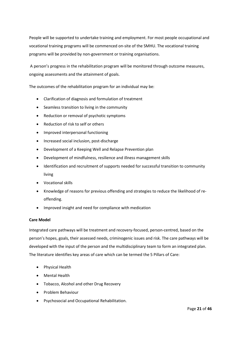People will be supported to undertake training and employment. For most people occupational and vocational training programs will be commenced on-site of the SMHU. The vocational training programs will be provided by non-government or training organisations.

A person's progress in the rehabilitation program will be monitored through outcome measures, ongoing assessments and the attainment of goals.

The outcomes of the rehabilitation program for an individual may be:

- Clarification of diagnosis and formulation of treatment
- Seamless transition to living in the community
- Reduction or removal of psychotic symptoms
- Reduction of risk to self or others
- Improved interpersonal functioning
- Increased social inclusion, post-discharge
- Development of a Keeping Well and Relapse Prevention plan
- Development of mindfulness, resilience and illness management skills
- Identification and recruitment of supports needed for successful transition to community living
- Vocational skills
- Knowledge of reasons for previous offending and strategies to reduce the likelihood of reoffending.
- Improved insight and need for compliance with medication

## **Care Model**

Integrated care pathways will be treatment and recovery-focused, person-centred, based on the person's hopes, goals, their assessed needs, criminogenic issues and risk. The care pathways will be developed with the input of the person and the multidisciplinary team to form an integrated plan. The literature identifies key areas of care which can be termed the 5 Pillars of Care:

- Physical Health
- Mental Health
- Tobacco, Alcohol and other Drug Recovery
- Problem Behaviour
- Psychosocial and Occupational Rehabilitation.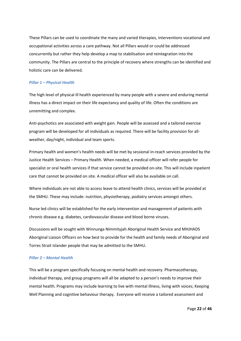These Pillars can be used to coordinate the many and varied therapies, interventions vocational and occupational activities across a care pathway. Not all Pillars would or could be addressed concurrently but rather they help develop a map to stabilisation and reintegration into the community. The Pillars are central to the principle of recovery where strengths can be identified and holistic care can be delivered.

## *Pillar 1 – Physical Health*

The high level of physical ill health experienced by many people with a severe and enduring mental illness has a direct impact on their life expectancy and quality of life. Often the conditions are unremitting and complex.

Anti-psychotics are associated with weight gain. People will be assessed and a tailored exercise program will be developed for all individuals as required. There will be facility provision for allweather, day/night, individual and team sports.

Primary health and women's health needs will be met by sessional in-reach services provided by the Justice Health Services – Primary Health. When needed, a medical officer will refer people for specialist or oral health services if that service cannot be provided on-site. This will include inpatient care that cannot be provided on site. A medical officer will also be available on call.

Where individuals are not able to access leave to attend health clinics, services will be provided at the SMHU. These may include: nutrition, physiotherapy, podiatry services amongst others.

Nurse led clinics will be established for the early intervention and management of patients with chronic disease e.g. diabetes, cardiovascular disease and blood borne viruses.

Discussions will be sought with Winnunga Nimmityjah Aboriginal Health Service and MHJHADS Aboriginal Liaison Officers on how best to provide for the health and family needs of Aboriginal and Torres Strait Islander people that may be admitted to the SMHU.

## *Pillar 2 – Mental Health*

This will be a program specifically focusing on mental health and recovery. Pharmacotherapy, individual therapy, and group programs will all be adapted to a person's needs to improve their mental health. Programs may include learning to live with mental illness, living with voices; Keeping Well Planning and cognitive behaviour therapy. Everyone will receive a tailored assessment and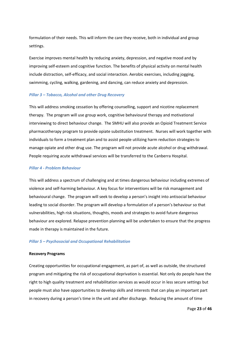formulation of their needs. This will inform the care they receive, both in individual and group settings.

Exercise improves mental health by reducing anxiety, depression, and negative mood and by improving self-esteem and cognitive function. The benefits of physical activity on mental health include distraction, self-efficacy, and social interaction. Aerobic exercises, including jogging, swimming, cycling, walking, gardening, and dancing, can reduce anxiety and depression.

#### *Pillar 3 – Tobacco, Alcohol and other Drug Recovery*

This will address smoking cessation by offering counselling, support and nicotine replacement therapy. The program will use group work, cognitive behavioural therapy and motivational interviewing to direct behaviour change. The SMHU will also provide an Opioid Treatment Service pharmacotherapy program to provide opiate substitution treatment. Nurses will work together with individuals to form a treatment plan and to assist people utilizing harm reduction strategies to manage opiate and other drug use. The program will not provide acute alcohol or drug withdrawal. People requiring acute withdrawal services will be transferred to the Canberra Hospital.

### *Pillar 4 - Problem Behaviour*

This will address a spectrum of challenging and at times dangerous behaviour including extremes of violence and self-harming behaviour. A key focus for interventions will be risk management and behavioural change. The program will seek to develop a person's insight into antisocial behaviour leading to social disorder. The program will develop a formulation of a person's behaviour so that vulnerabilities, high risk situations, thoughts, moods and strategies to avoid future dangerous behaviour are explored. Relapse prevention planning will be undertaken to ensure that the progress made in therapy is maintained in the future.

#### *Pillar 5 – Psychosocial and Occupational Rehabilitation*

#### **Recovery Programs**

Creating opportunities for occupational engagement, as part of, as well as outside, the structured program and mitigating the risk of occupational deprivation is essential. Not only do people have the right to high quality treatment and rehabilitation services as would occur in less secure settings but people must also have opportunities to develop skills and interests that can play an important part in recovery during a person's time in the unit and after discharge. Reducing the amount of time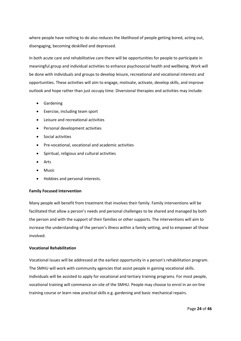where people have nothing to do also reduces the likelihood of people getting bored, acting out, disengaging, becoming deskilled and depressed.

In both acute care and rehabilitative care there will be opportunities for people to participate in meaningful group and individual activities to enhance psychosocial health and wellbeing. Work will be done with individuals and groups to develop leisure, recreational and vocational interests and opportunities. These activities will aim to engage, motivate, activate, develop skills, and improve outlook and hope rather than just occupy time. Diversional therapies and activities may include:

- Gardening
- Exercise, including team sport
- Leisure and recreational activities
- Personal development activities
- Social activities
- Pre-vocational, vocational and academic activities
- Spiritual, religious and cultural activities
- Arts
- Music
- Hobbies and personal interests.

## **Family Focused Intervention**

Many people will benefit from treatment that involves their family. Family interventions will be facilitated that allow a person's needs and personal challenges to be shared and managed by both the person and with the support of their families or other supports. The interventions will aim to increase the understanding of the person's illness within a family setting, and to empower all those involved.

## **Vocational Rehabilitation**

Vocational issues will be addressed at the earliest opportunity in a person's rehabilitation program. The SMHU will work with community agencies that assist people in gaining vocational skills. Individuals will be assisted to apply for vocational and tertiary training programs. For most people, vocational training will commence on-site of the SMHU. People may choose to enrol in an on-line training course or learn new practical skills e.g. gardening and basic mechanical repairs.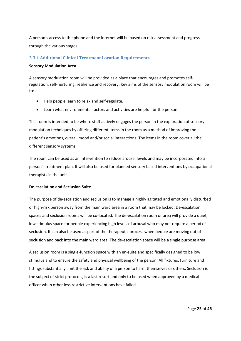A person's access to the phone and the internet will be based on risk assessment and progress through the various stages.

## <span id="page-24-0"></span>**3.3.1 Additional Clinical Treatment Location Requirements**

## **Sensory Modulation Area**

A sensory modulation room will be provided as a place that encourages and promotes selfregulation, self-nurturing, resilience and recovery. Key aims of the sensory modulation room will be to:

- Help people learn to relax and self-regulate.
- Learn what environmental factors and activities are helpful for the person.

This room is intended to be where staff actively engages the person in the exploration of sensory modulation techniques by offering different items in the room as a method of improving the patient's emotions, overall mood and/or social interactions. The items in the room cover all the different sensory systems.

The room can be used as an intervention to reduce arousal levels and may be incorporated into a person's treatment plan. It will also be used for planned sensory based interventions by occupational therapists in the unit.

## **De-escalation and Seclusion Suite**

The purpose of de-escalation and seclusion is to manage a highly agitated and emotionally disturbed or high-risk person away from the main ward area in a room that may be locked. De-escalation spaces and seclusion rooms will be co-located. The de-escalation room or area will provide a quiet, low stimulus space for people experiencing high levels of arousal who may not require a period of seclusion. It can also be used as part of the therapeutic process when people are moving out of seclusion and back into the main ward area. The de-escalation space will be a single purpose area.

A seclusion room is a single-function space with an en-suite and specifically designed to be low stimulus and to ensure the safety and physical wellbeing of the person. All fixtures, furniture and fittings substantially limit the risk and ability of a person to harm themselves or others. Seclusion is the subject of strict protocols, is a last resort and only to be used when approved by a medical officer when other less restrictive interventions have failed.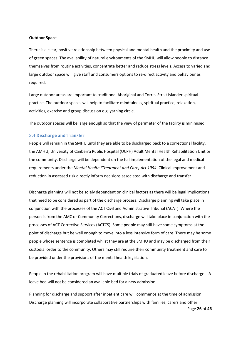#### **Outdoor Space**

There is a clear, positive relationship between physical and mental health and the proximity and use of green spaces. The availability of natural environments of the SMHU will allow people to distance themselves from routine activities, concentrate better and reduce stress levels. Access to varied and large outdoor space will give staff and consumers options to re-direct activity and behaviour as required.

Large outdoor areas are important to traditional Aboriginal and Torres Strait Islander spiritual practice. The outdoor spaces will help to facilitate mindfulness, spiritual practice, relaxation, activities, exercise and group discussion e.g. yarning circle.

The outdoor spaces will be large enough so that the view of perimeter of the facility is minimised.

#### <span id="page-25-0"></span>**3.4 Discharge and Transfer**

People will remain in the SMHU until they are able to be discharged back to a correctional facility, the AMHU, University of Canberra Public Hospital (UCPH) Adult Mental Health Rehabilitation Unit or the community. Discharge will be dependent on the full implementation of the legal and medical requirements under the *Mental Health (Treatment and Care) Act 1994.* Clinical improvement and reduction in assessed risk directly inform decisions associated with discharge and transfer

Discharge planning will not be solely dependent on clinical factors as there will be legal implications that need to be considered as part of the discharge process. Discharge planning will take place in conjunction with the processes of the ACT Civil and Administrative Tribunal (ACAT). Where the person is from the AMC or Community Corrections, discharge will take place in conjunction with the processes of ACT Corrective Services (ACTCS). Some people may still have some symptoms at the point of discharge but be well enough to move into a less intensive form of care. There may be some people whose sentence is completed whilst they are at the SMHU and may be discharged from their custodial order to the community. Others may still require their community treatment and care to be provided under the provisions of the mental health legislation.

People in the rehabilitation program will have multiple trials of graduated leave before discharge. A leave bed will not be considered an available bed for a new admission.

Planning for discharge and support after inpatient care will commence at the time of admission. Discharge planning will incorporate collaborative partnerships with families, carers and other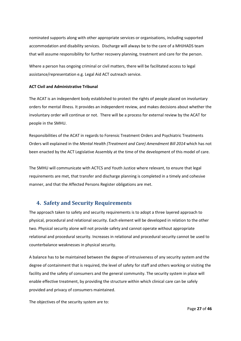nominated supports along with other appropriate services or organisations, including supported accommodation and disability services. Discharge will always be to the care of a MHJHADS team that will assume responsibility for further recovery planning, treatment and care for the person.

Where a person has ongoing criminal or civil matters, there will be facilitated access to legal assistance/representation e.g. Legal Aid ACT outreach service.

## **ACT Civil and Administrative Tribunal**

The ACAT is an independent body established to protect the rights of people placed on involuntary orders for mental illness. It provides an independent review, and makes decisions about whether the involuntary order will continue or not. There will be a process for external review by the ACAT for people in the SMHU.

Responsibilities of the ACAT in regards to Forensic Treatment Orders and Psychiatric Treatments Orders will explained in the *Mental Health (Treatment and Care) Amendment Bill 2014* which has not been enacted by the ACT Legislative Assembly at the time of the development of this model of care.

The SMHU will communicate with ACTCS and Youth Justice where relevant, to ensure that legal requirements are met, that transfer and discharge planning is completed in a timely and cohesive manner, and that the Affected Persons Register obligations are met.

## <span id="page-26-0"></span>**4. Safety and Security Requirements**

The approach taken to safety and security requirements is to adopt a three layered approach to physical, procedural and relational security. Each element will be developed in relation to the other two. Physical security alone will not provide safety and cannot operate without appropriate relational and procedural security. Increases in relational and procedural security cannot be used to counterbalance weaknesses in physical security.

A balance has to be maintained between the degree of intrusiveness of any security system and the degree of containment that is required, the level of safety for staff and others working or visiting the facility and the safety of consumers and the general community. The security system in place will enable effective treatment, by providing the structure within which clinical care can be safely provided and privacy of consumers maintained.

The objectives of the security system are to: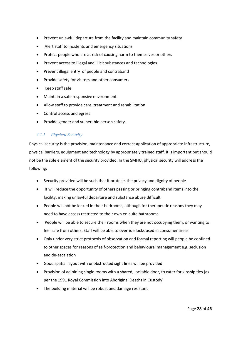- Prevent unlawful departure from the facility and maintain community safety
- Alert staff to incidents and emergency situations
- Protect people who are at risk of causing harm to themselves or others
- Prevent access to illegal and illicit substances and technologies
- Prevent illegal entry of people and contraband
- Provide safety for visitors and other consumers
- Keep staff safe
- Maintain a safe responsive environment
- Allow staff to provide care, treatment and rehabilitation
- Control access and egress
- Provide gender and vulnerable person safety.

## <span id="page-27-0"></span>*4.1.1 Physical Security*

Physical security is the provision, maintenance and correct application of appropriate infrastructure, physical barriers, equipment and technology by appropriately trained staff. It is important but should not be the sole element of the security provided. In the SMHU, physical security will address the following:

- Security provided will be such that it protects the privacy and dignity of people
- It will reduce the opportunity of others passing or bringing contraband items into the facility, making unlawful departure and substance abuse difficult
- People will not be locked in their bedrooms, although for therapeutic reasons they may need to have access restricted to their own en-suite bathrooms
- People will be able to secure their rooms when they are not occupying them, or wanting to feel safe from others. Staff will be able to override locks used in consumer areas
- Only under very strict protocols of observation and formal reporting will people be confined to other spaces for reasons of self-protection and behavioural management e.g. seclusion and de-escalation
- Good spatial layout with unobstructed sight lines will be provided
- Provision of adjoining single rooms with a shared, lockable door, to cater for kinship ties (as per the 1991 Royal Commission into Aboriginal Deaths in Custody)
- The building material will be robust and damage resistant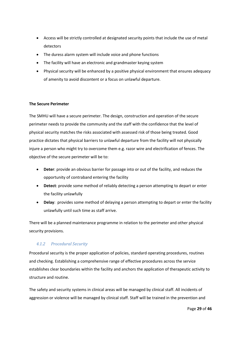- Access will be strictly controlled at designated security points that include the use of metal detectors
- The duress alarm system will include voice and phone functions
- The facility will have an electronic and grandmaster keying system
- Physical security will be enhanced by a positive physical environment that ensures adequacy of amenity to avoid discontent or a focus on unlawful departure.

## **The Secure Perimeter**

The SMHU will have a secure perimeter. The design, construction and operation of the secure perimeter needs to provide the community and the staff with the confidence that the level of physical security matches the risks associated with assessed risk of those being treated. Good practice dictates that physical barriers to unlawful departure from the facility will not physically injure a person who might try to overcome them e.g. razor wire and electrification of fences. The objective of the secure perimeter will be to:

- **Deter**: provide an obvious barrier for passage into or out of the facility, and reduces the opportunity of contraband entering the facility
- **Detect**: provide some method of reliably detecting a person attempting to depart or enter the facility unlawfully
- **Delay**: provides some method of delaying a person attempting to depart or enter the facility unlawfully until such time as staff arrive.

There will be a planned maintenance programme in relation to the perimeter and other physical security provisions.

## <span id="page-28-0"></span>*4.1.2 Procedural Security*

Procedural security is the proper application of policies, standard operating procedures, routines and checking. Establishing a comprehensive range of effective procedures across the service establishes clear boundaries within the facility and anchors the application of therapeutic activity to structure and routine.

The safety and security systems in clinical areas will be managed by clinical staff. All incidents of aggression or violence will be managed by clinical staff. Staff will be trained in the prevention and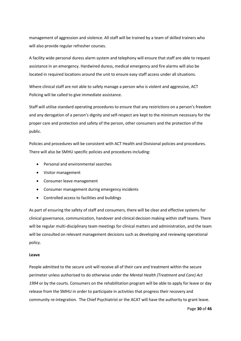management of aggression and violence. All staff will be trained by a team of skilled trainers who will also provide regular refresher courses.

A facility wide personal duress alarm system and telephony will ensure that staff are able to request assistance in an emergency. Hardwired duress, medical emergency and fire alarms will also be located in required locations around the unit to ensure easy staff access under all situations.

Where clinical staff are not able to safely manage a person who is violent and aggressive, ACT Policing will be called to give immediate assistance.

Staff will utilise standard operating procedures to ensure that any restrictions on a person's freedom and any derogation of a person's dignity and self-respect are kept to the minimum necessary for the proper care and protection and safety of the person, other consumers and the protection of the public.

Policies and procedures will be consistent with ACT Health and Divisional policies and procedures. There will also be SMHU specific policies and procedures including:

- Personal and environmental searches
- Visitor management
- Consumer leave management
- Consumer management during emergency incidents
- Controlled access to facilities and buildings

As part of ensuring the safety of staff and consumers, there will be clear and effective systems for clinical governance, communication, handover and clinical decision making within staff teams. There will be regular multi-disciplinary team meetings for clinical matters and administration, and the team will be consulted on relevant management decisions such as developing and reviewing operational policy.

## **Leave**

People admitted to the secure unit will receive all of their care and treatment within the secure perimeter unless authorised to do otherwise under the *Mental Health (Treatment and Care) Act 1994* or by the courts. Consumers on the rehabilitation program will be able to apply for leave or day release from the SMHU in order to participate in activities that progress their recovery and community re-integration. The Chief Psychiatrist or the ACAT will have the authority to grant leave.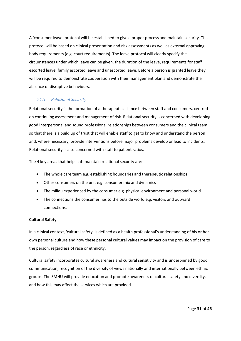A 'consumer leave' protocol will be established to give a proper process and maintain security. This protocol will be based on clinical presentation and risk assessments as well as external approving body requirements (e.g. court requirements). The leave protocol will clearly specify the circumstances under which leave can be given, the duration of the leave, requirements for staff escorted leave, family escorted leave and unescorted leave. Before a person is granted leave they will be required to demonstrate cooperation with their management plan and demonstrate the absence of disruptive behaviours.

## <span id="page-30-0"></span>*4.1.3 Relational Security*

Relational security is the formation of a therapeutic alliance between staff and consumers, centred on continuing assessment and management of risk. Relational security is concerned with developing good interpersonal and sound professional relationships between consumers and the clinical team so that there is a build up of trust that will enable staff to get to know and understand the person and, where necessary, provide interventions before major problems develop or lead to incidents. Relational security is also concerned with staff to patient ratios.

The 4 key areas that help staff maintain relational security are:

- The whole care team e.g. establishing boundaries and therapeutic relationships
- Other consumers on the unit e.g. consumer mix and dynamics
- The milieu experienced by the consumer e.g. physical environment and personal world
- The connections the consumer has to the outside world e.g. visitors and outward connections.

## **Cultural Safety**

In a clinical context, 'cultural safety' is defined as a health professional's understanding of his or her own personal culture and how these personal cultural values may impact on the provision of care to the person, regardless of race or ethnicity.

Cultural safety incorporates cultural awareness and cultural sensitivity and is underpinned by good communication, recognition of the diversity of views nationally and internationally between ethnic groups. The SMHU will provide education and promote awareness of cultural safety and diversity, and how this may affect the services which are provided.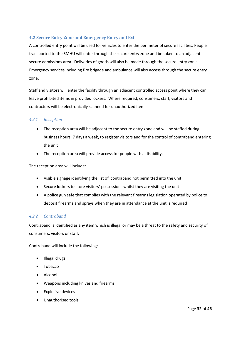## <span id="page-31-0"></span>**4.2 Secure Entry Zone and Emergency Entry and Exit**

A controlled entry point will be used for vehicles to enter the perimeter of secure facilities. People transported to the SMHU will enter through the secure entry zone and be taken to an adjacent secure admissions area. Deliveries of goods will also be made through the secure entry zone. Emergency services including fire brigade and ambulance will also access through the secure entry zone.

Staff and visitors will enter the facility through an adjacent controlled access point where they can leave prohibited items in provided lockers. Where required, consumers, staff, visitors and contractors will be electronically scanned for unauthorized items.

## <span id="page-31-1"></span>*4.2.1 Reception*

- The reception area will be adjacent to the secure entry zone and will be staffed during business hours, 7 days a week, to register visitors and for the control of contraband entering the unit
- The reception area will provide access for people with a disability.

The reception area will include:

- Visible signage identifying the list of contraband not permitted into the unit
- Secure lockers to store visitors' possessions whilst they are visiting the unit
- A police gun safe that complies with the relevant firearms legislation operated by police to deposit firearms and sprays when they are in attendance at the unit is required

## <span id="page-31-2"></span>*4.2.2 Contraband*

Contraband is identified as any item which is illegal or may be a threat to the safety and security of consumers, visitors or staff.

Contraband will include the following:

- Illegal drugs
- Tobacco
- Alcohol
- Weapons including knives and firearms
- **Explosive devices**
- Unauthorised tools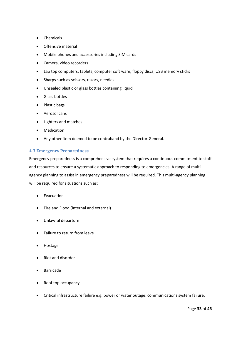- Chemicals
- Offensive material
- Mobile phones and accessories including SIM cards
- Camera, video recorders
- Lap top computers, tablets, computer soft ware, floppy discs, USB memory sticks
- Sharps such as scissors, razors, needles
- Unsealed plastic or glass bottles containing liquid
- Glass bottles
- Plastic bags
- Aerosol cans
- Lighters and matches
- Medication
- Any other item deemed to be contraband by the Director-General.

## <span id="page-32-0"></span>**4.3 Emergency Preparedness**

Emergency preparedness is a comprehensive system that requires a continuous commitment to staff and resources to ensure a systematic approach to responding to emergencies. A range of multiagency planning to assist in emergency preparedness will be required. This multi-agency planning will be required for situations such as:

- Evacuation
- Fire and Flood (internal and external)
- Unlawful departure
- Failure to return from leave
- Hostage
- Riot and disorder
- **Barricade**
- Roof top occupancy
- Critical infrastructure failure e.g. power or water outage, communications system failure.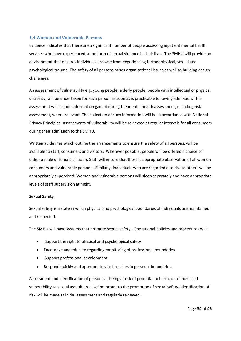## <span id="page-33-0"></span>**4.4 Women and Vulnerable Persons**

Evidence indicates that there are a significant number of people accessing inpatient mental health services who have experienced some form of sexual violence in their lives. The SMHU will provide an environment that ensures individuals are safe from experiencing further physical, sexual and psychological trauma. The safety of all persons raises organisational issues as well as building design challenges.

An assessment of vulnerability e.g. young people, elderly people, people with intellectual or physical disability, will be undertaken for each person as soon as is practicable following admission. This assessment will include information gained during the mental health assessment, including risk assessment, where relevant. The collection of such information will be in accordance with National Privacy Principles. Assessments of vulnerability will be reviewed at regular intervals for all consumers during their admission to the SMHU.

Written guidelines which outline the arrangements to ensure the safety of all persons, will be available to staff, consumers and visitors. Wherever possible, people will be offered a choice of either a male or female clinician. Staff will ensure that there is appropriate observation of all women consumers and vulnerable persons. Similarly, individuals who are regarded as a risk to others will be appropriately supervised. Women and vulnerable persons will sleep separately and have appropriate levels of staff supervision at night.

## **Sexual Safety**

Sexual safety is a state in which physical and psychological boundaries of individuals are maintained and respected.

The SMHU will have systems that promote sexual safety. Operational policies and procedures will:

- Support the right to physical and psychological safety
- Encourage and educate regarding monitoring of professional boundaries
- Support professional development
- Respond quickly and appropriately to breaches in personal boundaries.

Assessment and identification of persons as being at risk of potential to harm, or of increased vulnerability to sexual assault are also important to the promotion of sexual safety. Identification of risk will be made at initial assessment and regularly reviewed.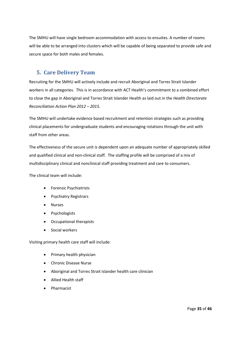The SMHU will have single bedroom accommodation with access to ensuites. A number of rooms will be able to be arranged into clusters which will be capable of being separated to provide safe and secure space for both males and females.

## <span id="page-34-0"></span>**5. Care Delivery Team**

Recruiting for the SMHU will actively include and recruit Aboriginal and Torres Strait Islander workers in all categories. This is in accordance with ACT Health's commitment to a combined effort to close the gap in Aboriginal and Torres Strait Islander Health as laid out in the *Health Directorate Reconciliation Action Plan 2012 – 2015.*

The SMHU will undertake evidence based recruitment and retention strategies such as providing clinical placements for undergraduate students and encouraging rotations through the unit with staff from other areas.

The effectiveness of the secure unit is dependent upon an adequate number of appropriately skilled and qualified clinical and non-clinical staff. The staffing profile will be comprised of a mix of multidisciplinary clinical and nonclinical staff providing treatment and care to consumers.

The clinical team will include:

- Forensic Psychiatrists
- Psychiatry Registrars
- **Nurses**
- Psychologists
- Occupational therapists
- Social workers

Visiting primary health care staff will include:

- Primary health physician
- Chronic Disease Nurse
- Aboriginal and Torres Strait Islander health care clinician
- Allied Health staff
- Pharmacist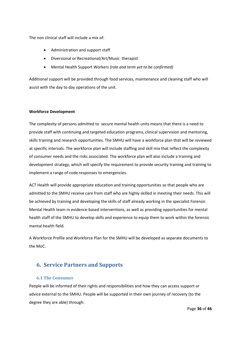The non clinical staff will include a mix of:

- Administration and support staff
- Diversional or Recreational/Art/Music therapist
- Mental Health Support Workers *(role and term yet to be confirmed)*

Additional support will be provided through food services, maintenance and cleaning staff who will assist with the day to day operations of the unit.

## **Workforce Development**

The complexity of persons admitted to secure mental health units means that there is a need to provide staff with continuing and targeted education programs, clinical supervision and mentoring, skills training and research opportunities. The SMHU will have a workforce plan that will be reviewed at specific intervals. The workforce plan will include staffing and skill mix that reflect the complexity of consumer needs and the risks associated. The workforce plan will also include a training and development strategy, which will specify the requirement to provide security training and training to implement a range of code responses to emergencies.

ACT Health will provide appropriate education and training opportunities so that people who are admitted to the SMHU receive care from staff who are highly skilled in meeting their needs. This will be achieved by training and developing the skills of staff already working in the specialist Forensic Mental Health team in evidence-based interventions, as well as providing opportunities for mental health staff of the SMHU to develop skills and experience to equip them to work within the forensic mental health field.

A Workforce Profile and Workforce Plan for the SMHU will be developed as separate documents to the MoC.

## <span id="page-35-0"></span>**6. Service Partners and Supports**

## <span id="page-35-1"></span>**6.1 The Consumer**

People will be informed of their rights and responsibilities and how they can access support or advice external to the SMHU. People will be supported in their own journey of recovery (to the degree they are able) through: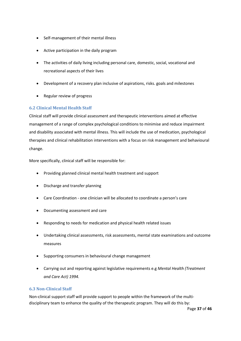- Self-management of their mental illness
- Active participation in the daily program
- The activities of daily living including personal care, domestic, social, vocational and recreational aspects of their lives
- Development of a recovery plan inclusive of aspirations, risks. goals and milestones
- Regular review of progress

## <span id="page-36-0"></span>**6.2 Clinical Mental Health Staff**

Clinical staff will provide clinical assessment and therapeutic interventions aimed at effective management of a range of complex psychological conditions to minimise and reduce impairment and disability associated with mental illness. This will include the use of medication, psychological therapies and clinical rehabilitation interventions with a focus on risk management and behavioural change.

More specifically, clinical staff will be responsible for:

- Providing planned clinical mental health treatment and support
- Discharge and transfer planning
- Care Coordination one clinician will be allocated to coordinate a person's care
- Documenting assessment and care
- Responding to needs for medication and physical health related issues
- Undertaking clinical assessments, risk assessments, mental state examinations and outcome measures
- Supporting consumers in behavioural change management
- Carrying out and reporting against legislative requirements e.g *Mental Health (Treatment and Care Act) 1994.*

## <span id="page-36-1"></span>**6.3 Non-Clinical Staff**

Non-clinical support staff will provide support to people within the framework of the multidisciplinary team to enhance the quality of the therapeutic program. They will do this by: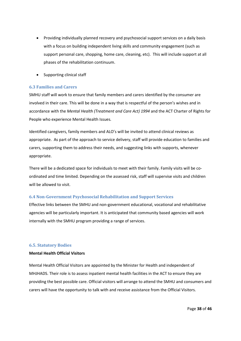- Providing individually planned recovery and psychosocial support services on a daily basis with a focus on building independent living skills and community engagement (such as support personal care, shopping, home care, cleaning, etc). This will include support at all phases of the rehabilitation continuum.
- Supporting clinical staff

## <span id="page-37-0"></span>**6.3 Families and Carers**

SMHU staff will work to ensure that family members and carers identified by the consumer are involved in their care. This will be done in a way that is respectful of the person's wishes and in accordance with the *Mental Health (Treatment and Care Act) 1994* and the ACT Charter of Rights for People who experience Mental Health Issues*.*

Identified caregivers, family members and ALO's will be invited to attend clinical reviews as appropriate. As part of the approach to service delivery, staff will provide education to families and carers, supporting them to address their needs, and suggesting links with supports, whenever appropriate.

There will be a dedicated space for individuals to meet with their family. Family visits will be coordinated and time limited. Depending on the assessed risk, staff will supervise visits and children will be allowed to visit.

## <span id="page-37-1"></span>**6.4 Non-Government Psychosocial Rehabilitation and Support Services**

Effective links between the SMHU and non-government educational, vocational and rehabilitative agencies will be particularly important. It is anticipated that community based agencies will work internally with the SMHU program providing a range of services.

## <span id="page-37-2"></span>**6.5. Statutory Bodies**

## **Mental Health Official Visitors**

Mental Health Official Visitors are appointed by the Minister for Health and independent of MHJHADS. Their role is to assess inpatient mental health facilities in the ACT to ensure they are providing the best possible care. Official visitors will arrange to attend the SMHU and consumers and carers will have the opportunity to talk with and receive assistance from the Official Visitors.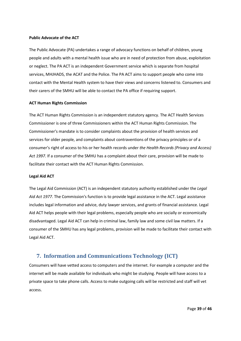## **Public Advocate of the ACT**

The Public Advocate (PA) undertakes a range of advocacy functions on behalf of children, young people and adults with a mental health issue who are in need of protection from abuse, exploitation or neglect. The PA ACT is an independent Government service which is separate from hospital services, MHJHADS, the ACAT and the Police. The PA ACT aims to support people who come into contact with the Mental Health system to have their views and concerns listened to. Consumers and their carers of the SMHU will be able to contact the PA office if requiring support.

## **ACT Human Rights Commission**

The ACT Human Rights Commission is an independent statutory agency. The ACT Health Services Commissioner is one of three Commissioners within the ACT Human Rights Commission. The Commissioner's mandate is to consider complaints about the provision of health services and services for older people, and complaints about contraventions of the privacy principles or of a consumer's right of access to his or her health records under *the Health Records (Privacy and Access) Act 1997.* If a consumer of the SMHU has a complaint about their care, provision will be made to facilitate their contact with the ACT Human Rights Commission.

#### **Legal Aid ACT**

The Legal Aid Commission (ACT) is an independent statutory authority established under the *Legal Aid Act 1977*. The Commission's function is to provide legal assistance in the ACT. Legal assistance includes legal information and advice, duty lawyer services, and grants of financial assistance. Legal Aid ACT helps people with their legal problems, especially people who are socially or economically disadvantaged. Legal Aid ACT can help in criminal law, family law and some civil law matters. If a consumer of the SMHU has any legal problems, provision will be made to facilitate their contact with Legal Aid ACT.

## <span id="page-38-0"></span>**7. Information and Communications Technology (ICT)**

Consumers will have vetted access to computers and the internet. For example a computer and the internet will be made available for individuals who might be studying. People will have access to a private space to take phone calls. Access to make outgoing calls will be restricted and staff will vet access.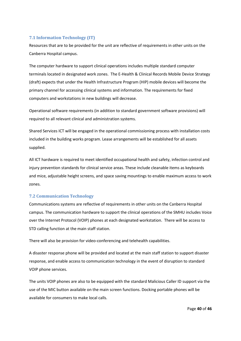## <span id="page-39-0"></span>**7.1 Information Technology (IT)**

Resources that are to be provided for the unit are reflective of requirements in other units on the Canberra Hospital campus.

The computer hardware to support clinical operations includes multiple standard computer terminals located in designated work zones. The E-Health & Clinical Records Mobile Device Strategy (draft) expects that under the Health Infrastructure Program (HIP) mobile devices will become the primary channel for accessing clinical systems and information. The requirements for fixed computers and workstations in new buildings will decrease.

Operational software requirements (in addition to standard government software provisions) will required to all relevant clinical and administration systems.

Shared Services ICT will be engaged in the operational commissioning process with installation costs included in the building works program. Lease arrangements will be established for all assets supplied.

All ICT hardware is required to meet identified occupational health and safety, infection control and injury prevention standards for clinical service areas. These include cleanable items as keyboards and mice, adjustable height screens, and space saving mountings to enable maximum access to work zones.

## <span id="page-39-1"></span>**7.2 Communication Technology**

Communications systems are reflective of requirements in other units on the Canberra Hospital campus. The communication hardware to support the clinical operations of the SMHU includes Voice over the Internet Protocol (VOIP) phones at each designated workstation. There will be access to STD calling function at the main staff station.

There will also be provision for video-conferencing and telehealth capabilities.

A disaster response phone will be provided and located at the main staff station to support disaster response, and enable access to communication technology in the event of disruption to standard VOIP phone services.

The units VOIP phones are also to be equipped with the standard Malicious Caller ID support via the use of the MIC button available on the main screen functions. Docking portable phones will be available for consumers to make local calls.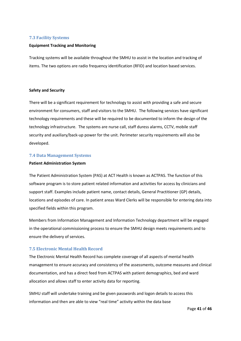## <span id="page-40-0"></span>**7.3 Facility Systems**

#### **Equipment Tracking and Monitoring**

Tracking systems will be available throughout the SMHU to assist in the location and tracking of items. The two options are radio frequency identification (RFID) and location based services.

## **Safety and Security**

There will be a significant requirement for technology to assist with providing a safe and secure environment for consumers, staff and visitors to the SMHU. The following services have significant technology requirements and these will be required to be documented to inform the design of the technology infrastructure. The systems are nurse call, staff duress alarms, CCTV, mobile staff security and auxiliary/back-up power for the unit. Perimeter security requirements will also be developed.

#### <span id="page-40-1"></span>**7.4 Data Management Systems**

#### **Patient Administration System**

The Patient Administration System (PAS) at ACT Health is known as ACTPAS. The function of this software program is to store patient related information and activities for access by clinicians and support staff. Examples include patient name, contact details, General Practitioner (GP) details, locations and episodes of care. In patient areas Ward Clerks will be responsible for entering data into specified fields within this program.

Members from Information Management and Information Technology department will be engaged in the operational commissioning process to ensure the SMHU design meets requirements and to ensure the delivery of services.

## <span id="page-40-2"></span>**7.5 Electronic Mental Health Record**

The Electronic Mental Health Record has complete coverage of all aspects of mental health management to ensure accuracy and consistency of the assessments, outcome measures and clinical documentation, and has a direct feed from ACTPAS with patient demographics, bed and ward allocation and allows staff to enter activity data for reporting.

SMHU staff will undertake training and be given passwords and logon details to access this information and then are able to view "real time" activity within the data base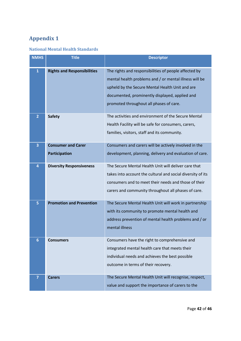# <span id="page-41-0"></span>**Appendix 1**

# <span id="page-41-1"></span>**National Mental Health Standards**

| <b>NMHS</b>    | <b>Title</b>                                      | <b>Descriptor</b>                                                                                                                                                                                                                                               |
|----------------|---------------------------------------------------|-----------------------------------------------------------------------------------------------------------------------------------------------------------------------------------------------------------------------------------------------------------------|
| $\mathbf{1}$   | <b>Rights and Responsibilities</b>                | The rights and responsibilities of people affected by<br>mental health problems and / or mental illness will be<br>upheld by the Secure Mental Health Unit and are<br>documented, prominently displayed, applied and<br>promoted throughout all phases of care. |
| $\overline{2}$ | <b>Safety</b>                                     | The activities and environment of the Secure Mental<br>Health Facility will be safe for consumers, carers,<br>families, visitors, staff and its community.                                                                                                      |
| 3              | <b>Consumer and Carer</b><br><b>Participation</b> | Consumers and carers will be actively involved in the<br>development, planning, delivery and evaluation of care.                                                                                                                                                |
| 4              | <b>Diversity Responsiveness</b>                   | The Secure Mental Health Unit will deliver care that<br>takes into account the cultural and social diversity of its<br>consumers and to meet their needs and those of their<br>carers and community throughout all phases of care.                              |
| 5              | <b>Promotion and Prevention</b>                   | The Secure Mental Health Unit will work in partnership<br>with its community to promote mental health and<br>address prevention of mental health problems and / or<br>mental illness                                                                            |
| 6              | <b>Consumers</b>                                  | Consumers have the right to comprehensive and<br>integrated mental health care that meets their<br>individual needs and achieves the best possible<br>outcome in terms of their recovery.                                                                       |
| $\overline{7}$ | <b>Carers</b>                                     | The Secure Mental Health Unit will recognise, respect,<br>value and support the importance of carers to the                                                                                                                                                     |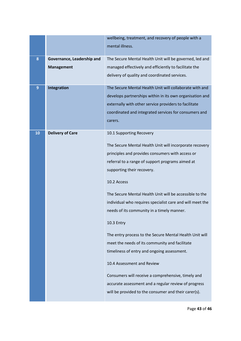|    |                            | wellbeing, treatment, and recovery of people with a       |
|----|----------------------------|-----------------------------------------------------------|
|    |                            | mental illness.                                           |
|    |                            |                                                           |
| 8  | Governance, Leadership and | The Secure Mental Health Unit will be governed, led and   |
|    | <b>Management</b>          | managed effectively and efficiently to facilitate the     |
|    |                            | delivery of quality and coordinated services.             |
| 9  | Integration                | The Secure Mental Health Unit will collaborate with and   |
|    |                            | develops partnerships within in its own organisation and  |
|    |                            | externally with other service providers to facilitate     |
|    |                            | coordinated and integrated services for consumers and     |
|    |                            | carers.                                                   |
|    |                            |                                                           |
| 10 | <b>Delivery of Care</b>    | 10.1 Supporting Recovery                                  |
|    |                            | The Secure Mental Health Unit will incorporate recovery   |
|    |                            | principles and provides consumers with access or          |
|    |                            | referral to a range of support programs aimed at          |
|    |                            | supporting their recovery.                                |
|    |                            |                                                           |
|    |                            | 10.2 Access                                               |
|    |                            | The Secure Mental Health Unit will be accessible to the   |
|    |                            | individual who requires specialist care and will meet the |
|    |                            | needs of its community in a timely manner.                |
|    |                            |                                                           |
|    |                            | 10.3 Entry                                                |
|    |                            | The entry process to the Secure Mental Health Unit will   |
|    |                            | meet the needs of its community and facilitate            |
|    |                            | timeliness of entry and ongoing assessment.               |
|    |                            | 10.4 Assessment and Review                                |
|    |                            |                                                           |
|    |                            | Consumers will receive a comprehensive, timely and        |
|    |                            | accurate assessment and a regular review of progress      |
|    |                            | will be provided to the consumer and their carer(s).      |
|    |                            |                                                           |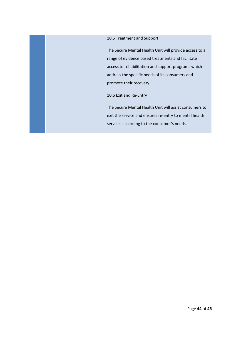## 10.5 Treatment and Support

The Secure Mental Health Unit will provide access to a range of evidence based treatments and facilitate access to rehabilitation and support programs which address the specific needs of its consumers and promote their recovery.

10.6 Exit and Re-Entry

The Secure Mental Health Unit will assist consumers to exit the service and ensures re-entry to mental health services according to the consumer's needs.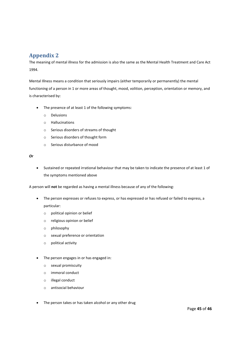## <span id="page-44-0"></span>**Appendix 2**

The meaning of mental illness for the admission is also the same as the Mental Health Treatment and Care Act 1994.

Mental Illness means a condition that seriously impairs (either temporarily or permanently) the mental functioning of a person in 1 or more areas of thought, mood, volition, perception, orientation or memory, and is characterised by:

- The presence of at least 1 of the following symptoms:
	- o Delusions
	- o Hallucinations
	- o Serious disorders of streams of thought
	- o Serious disorders of thought form
	- o Serious disturbance of mood

*Or*

• Sustained or repeated irrational behaviour that may be taken to indicate the presence of at least 1 of the symptoms mentioned above

A person will **not** be regarded as having a mental illness because of any of the following:

- The person expresses or refuses to express, or has expressed or has refused or failed to express, a particular:
	- o political opinion or belief
	- o religious opinion or belief
	- o philosophy
	- o sexual preference or orientation
	- o political activity
- The person engages in or has engaged in:
	- o sexual promiscuity
	- o immoral conduct
	- o illegal conduct
	- o antisocial behaviour
- The person takes or has taken alcohol or any other drug